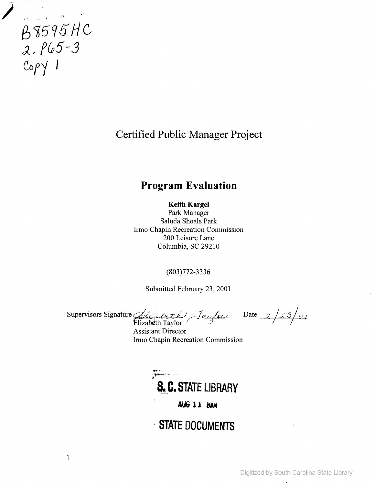

**Certified Public Manager Project**

# **Program Evaluation**

**Keith Kargel**

Park Manager Saluda Shoals Park Irmo Chapin Recreation Commission 200 Leisure Lane Columbia, SC 29210

(803)772-3336

Submitted February 23,2001

Supervisors Signature *Gly aluth Jauglow* 

Date<sub>, 2</sub> / *2* 3 *| 0 | T X* Y U

lizabeth Taylor  $\angle$ Assistant Director Irmo Chapin Recreation Commission

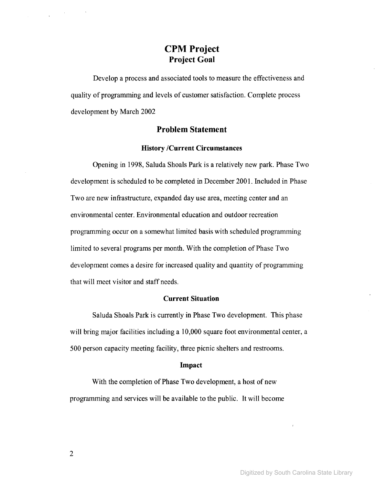# **CPM Project Project Goal**

Develop a process and associated tools to measure the effectiveness and quality of programming and levels of customer satisfaction. Complete process development by March 2002

# **Problem Statement**

# **History /Current Circumstances**

Opening in 1998, Saluda Shoals Park is a relatively new park. Phase Two development is scheduled to be completed in December 2001. Included in Phase Two are new infrastructure, expanded day use area, meeting center and an environmental center. Environmental education and outdoor recreation programming occur on a somewhat limited basis with scheduled programming limited to several programs per month. With the completion of Phase Two development comes a desire for increased quality and quantity of programming that will meet visitor and staff needs.

# **Current Situation**

Saluda Shoals Park is currently in Phase Two development. This phase will bring major facilities including a 10,000 square foot environmental center, a 500 person capacity meeting facility, three picnic shelters and restrooms.

#### **Impact**

With the completion of Phase Two development, a host of new programming and services will be available to the public. It will become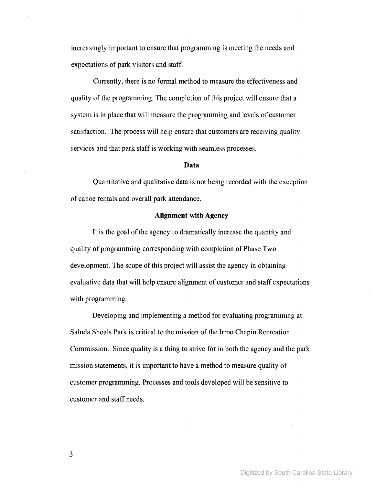increasingly important to ensure that programming is meeting the needs and expectations of park visitors and staff.

Currently, there is no formal method to measure the effectiveness and quality of the programming. The completion of this project will ensure that a system is in place that will measure the programming and levels of customer satisfaction. The process will help ensure that customers are receiving quality services and that park staff is working with seamless processes.

#### **Data**

Quantitative and qualitative data is not being recorded with the exception of canoe rentals and overall park attendance.

### **Alignment with Agency**

It is the goal of the agency to dramatically increase the quantity and quality of programming corresponding with completion of Phase Two development. The scope of this project will assist the agency in obtaining evaluative data that will help ensure alignment of customer and staff expectations with programming.

Developing and implementing a method for evaluating programming at Saluda Shoals Park is critical to the mission of the Irmo Chapin Recreation Commission. Since quality is a thing to strive for in both the agency and the park mission statements, it is important to have a method to measure quality of customer programming. Processes and tools developed will be sensitive to customer and staff needs.

3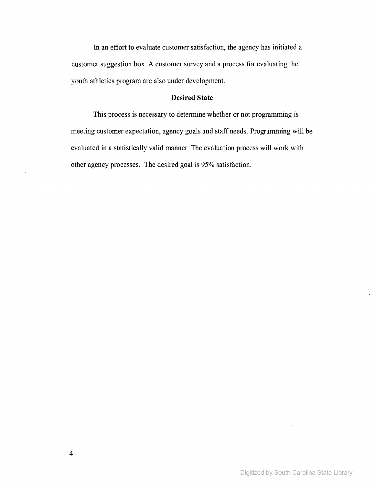**In** an effort to evaluate customer satisfaction, the agency has initiated a customer suggestion box. A customer survey and a process for evaluating the youth athletics program are also under development.

# **Desired State**

This process is necessary to determine whether or not programming is meeting customer expectation, agency goals and staff needs. Programming will be evaluated in a statistically valid manner. The evaluation process will work with other agency processes. The desired goal is 95% satisfaction.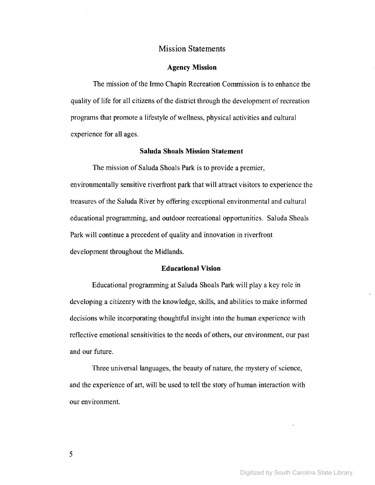# Mission Statements

#### **Agency Mission**

The mission of the Irmo Chapin Recreation Commission is to enhance the quality of life for all citizens of the district through the development of recreation programs that promote a lifestyle of wellness, physical activities and cultural experience for all ages.

#### **Saluda Shoals Mission Statement**

The mission of Saluda Shoals Park is to provide a premier, environmentally sensitive riverfront park that will attract visitors to experience the treasures ofthe Saluda River by offering exceptional environmental and cultural educational programming, and outdoor recreational opportunities. Saluda Shoals Park will continue a precedent of quality and innovation in riverfront development throughout the Midlands.

#### **Educational Vision**

Educational programming at Saluda Shoals Park will playa key role in developing a citizenry with the knowledge, skills, and abilities to make informed decisions while incorporating thoughtful insight into the human experience with reflective emotional sensitivities to the needs of others, our environment, our past and our future.

Three universal languages, the beauty of nature, the mystery of science, and the experience of art, will be used to tell the story of human interaction with our environment.

5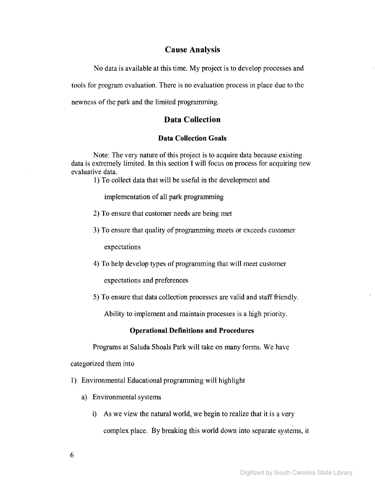# **Cause Analysis**

No data is available at this time. My project is to develop processes and tools for program evaluation. There is no evaluation process in place due to the newness of the park and the limited programming.

# **Data Collection**

# **Data Collection Goals**

Note: The very nature of this project is to acquire data because existing data is extremely limited. In this section I will focus on process for acquiring new evaluative data.

1) To collect data that will be useful in the development and

implementation of all park programming

- 2) To ensure that customer needs are being met
- 3) To ensure that quality of programming meets or exceeds customer

expectations

4) To help develop types of programming that will meet customer

expectations and preferences

5) To ensure that data collection processes are valid and stafffriendly.

Ability to implement and maintain processes is a high priority.

# **Operational Definitions and Procedures**

Programs at Saluda Shoals Park will take on many forms. We have

categorized them into

- 1) Environmental Educational programming will highlight
	- a) Environmental systems
		- i) As we view the natural world, we begin to realize that it is a very , complex place. By breaking this world down into separate systems, it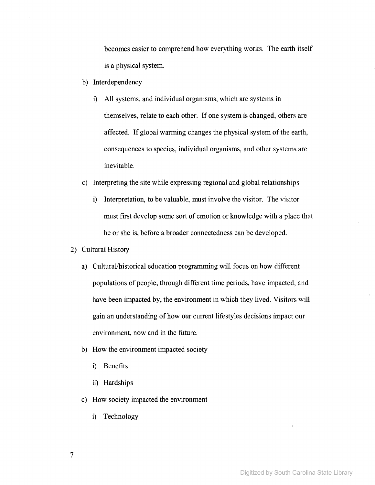becomes easier to comprehend how everything works. The earth itself is a physical system.

- b) Interdependency
	- i) All systems, and individual organisms, which are systems in themselves, relate to each other. If one system is changed, others are affected. If global warming changes the physical system of the earth, consequences to species, individual organisms, and other systems are inevitable.
- c) Interpreting the site while expressing regional and global relationships
	- i) Interpretation, to be valuable, must involve the visitor. The visitor must first develop some sort of emotion or knowledge with a place that he or she is, before a broader connectedness can be developed.
- 2) Cultural History
	- a) Cultural/historical education programming will focus on how different populations of people, through different time periods, have impacted, and have been impacted by, the environment in which they lived. Visitors will gain an understanding of how our current lifestyles decisions impact our environment, now and in the future.
	- b) How the environment impacted society
		- i) Benefits
		- ii) Hardships
	- c) How society impacted the environment
		- i) Technology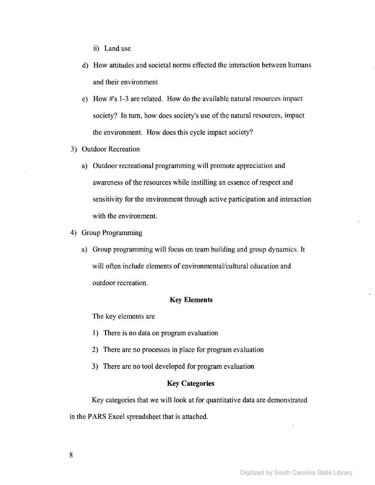- ii) Land use
- d) How attitudes and societal norms effected the interaction between humans and their environment
- e) How #'s 1-3 are related. How do the available natural resources impact society? In turn, how does society's use of the natural resources, impact the environment. How does this cycle impact society?
- 3) Outdoor Recreation
	- a) Outdoor recreational programming will promote appreciation and awareness of the resources while instilling an essence of respect and sensitivity for the environment through active participation and interaction with the environment.
- 4) Group Programming
	- a) Group programming will focus on team building and group dynamics. It will often include elements of environmental/cultural education and outdoor recreation.

# Key **Elements**

The key elements are

- 1) There is no data on program evaluation
- 2) There are no processes in place for program evaluation
- 3) There are no tool developed for program evaluation

#### Key **Categories**

Key categories that we will look at for quantitative data are demonstrated

in the PARS Excel spreadsheet that is attached.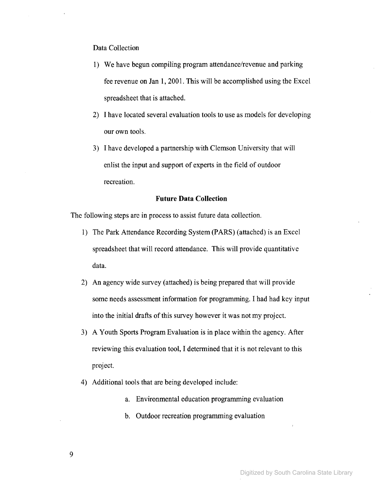## Data Collection

- 1) We have begun compiling program attendance/revenue and parking fee revenue on Jan **1,2001.** This will be accomplished using the Excel spreadsheet that is attached.
- 2) I have located several evaluation tools to use as models for developing our own tools.
- 3) I have developed a partnership with Clemson University that will enlist the input and support of experts in the field of outdoor recreation.

### **Future Data Collection**

The following steps are in process to assist future data collection.

- 1) The Park Attendance Recording System (PARS) (attached) is an Excel spreadsheet that will record attendance. This will provide quantitative data.
- 2) An agency wide survey (attached) is being prepared that will provide some needs assessment information for programming. I had had key input into the initial drafts of this survey however it was not my project.
- 3) A Youth Sports Program Evaluation is in place within the agency. After reviewing this evaluation tool, I determined that it is not relevant to this project.
- 4) Additional tools that are being developed include:
	- a. Environmental education programming evaluation
	- b. Outdoor recreation programming evaluation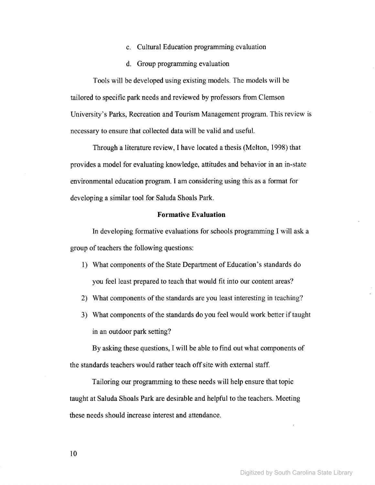- c. Cultural Education programming evaluation
- d. Group programming evaluation

Tools will be developed using existing models. The models will be tailored to specific park needs and reviewed by professors from Clemson University's Parks, Recreation and Tourism Management program. This review is necessary to ensure that collected data will be valid and usefuL

Through a literature review, I have located a thesis (Melton, 1998) that provides a model for evaluating knowledge, attitudes and behavior in an in-state environmental education program. I am considering using this as a format for developing a similar tool for Saluda Shoals Park.

#### **Formative Evaluation**

In developing formative evaluations for schools programming I will ask a group of teachers the following questions:

- 1) What components of the State Department of Education's standards do you feel least prepared to teach that would fit into our content areas?
- 2) What components of the standards are you least interesting in teaching?
- 3) What components of the standards do you feel would work better if taught in an outdoor park setting?

By asking these questions, I will be able to find out what components of the standards teachers would rather teach offsite with external staff.

Tailoring our programming to these needs will help ensure that topic taught at Saluda Shoals Park are desirable and helpful to the teachers. Meeting these needs should increase interest and attendance.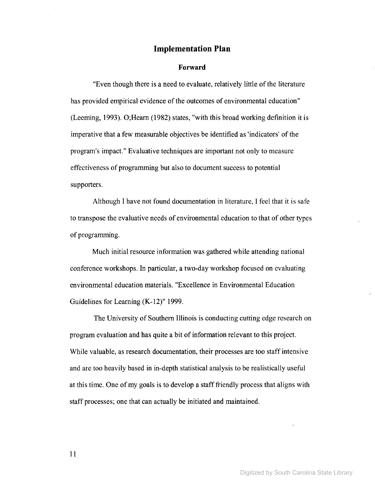## **Implementation Plan**

#### **Forward**

"Even though there is a need to evaluate, relatively little of the literature has provided empirical evidence of the outcomes of environmental education" (Leeming, 1993). O;Hearn (1982) states, "with this broad working definition it is imperative that a few measurable objectives be identified as 'indicators' of the program's impact." Evaluative techniques are important not only to measure effectiveness of programming but also to document success to potential supporters.

Although I have not found documentation in literature, I feel that it is safe to transpose the evaluative needs of environmental education to that of other types of programming.

Much initial resource information was gathered while attending national conference workshops. In particular, a two-day workshop focused on evaluating environmental education materials. "Excellence in Environmental Education Guidelines for Learning (K-12)" 1999.

The University of Southern Illinois is conducting cutting edge research on program evaluation and has quite a bit of information relevant to this project. While valuable, as research documentation, their processes are too staffintensive and are too heavily based in in-depth statistical analysis to be realistically useful at this time. One of my goals is to develop a staff friendly process that aligns with staff processes; one that can actually be initiated and maintained.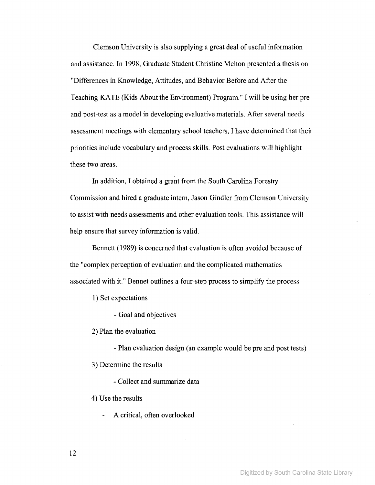Clemson University is also supplying a great deal of useful information and assistance. **In** 1998, Graduate Student Christine Melton presented a thesis on "Differences in Knowledge, Attitudes, and Behavior Before and After the Teaching KATE (Kids About the Environment) Program." I will be using her pre and post-test as a model in developing evaluative materials. After several needs assessment meetings with elementary school teachers, I have determined that their priorities include vocabulary and process skills. Post evaluations will highlight these two areas.

**In** addition, I obtained a grant from the South Carolina Forestry Commission and hired a graduate intern, Jason Gindler from Clemson University to assist with needs assessments and other evaluation tools. This assistance will help ensure that survey information is valid.

Bennett (1989) is concerned that evaluation is often avoided because of the "complex perception of evaluation and the complicated mathematics associated with it." Bennet outlines a four-step process to simplify the process.

1) Set expectations

- Goal and objectives

2) Plan the evaluation

- Plan evaluation design (an example would be pre and post tests)

3) Determine the results

- Collect and summarize data

4) Use the results

A critical, often overlooked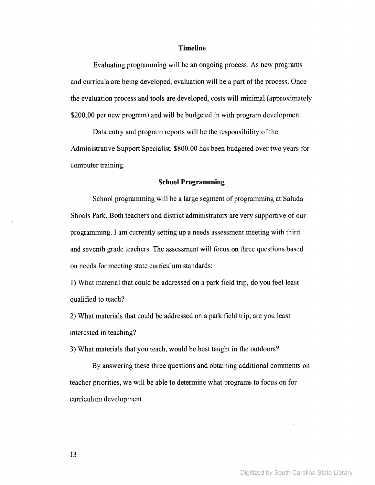#### **Timeline**

Evaluating programming will be an ongoing process. As new programs and curricula are being developed, evaluation will be a part of the process. Once the evaluation process and tools are developed, costs will minimal (approximately \$200.00 per new program) and will be budgeted in with program development.

Data entry and program reports will be the responsibility of the Administrative Support Specialist. \$800.00 has been budgeted over two years for computer training.

#### **School Programming**

School programming will be a large segment of programming at Saluda Shoals Park. Both teachers and district administrators are very supportive of our programming. I am currently setting up a needs assessment meeting with third and seventh grade teachers. The assessment will focus on three questions based on needs for meeting state curriculum standards:

1) What material that could be addressed on a park field trip, do you feel least qualified to teach?

2) What materials that could be addressed on a park field trip, are you least interested in teaching?

3) What materials that you teach, would be best taught in the outdoors?

By answering these three questions and obtaining additional comments on teacher priorities, we will be able to determine what programs to focus on for curriculum development.

13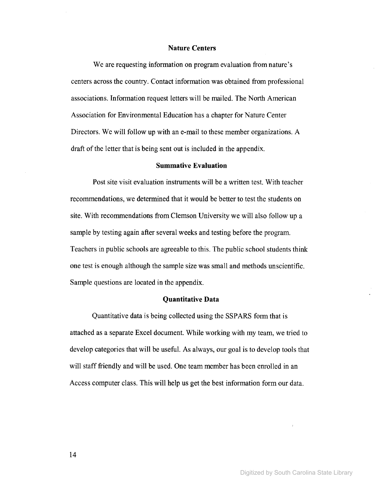#### **Nature Centers**

We are requesting information on program evaluation from nature's centers across the country. Contact information was obtained from professional associations. Information request letters will be mailed. The North American Association for Environmental Education has a chapter for Nature Center Directors. We will follow up with an e-mail to these member organizations. A draft of the letter that is being sent out is included in the appendix.

#### **Summative Evaluation**

Post site visit evaluation instruments will be a written test. With teacher recommendations, we determined that it would be better to test the students on site. With recommendations from Clemson University we will also follow up a sample by testing again after several weeks and testing before the program. Teachers in public schools are agreeable to this. The public school students think one test is enough although the sample size was small and methods unscientific. Sample questions are located in the appendix.

#### **Quantitative Data**

Quantitative data is being collected using the SSPARS form that is attached as a separate Excel document. While working with my team, we tried to develop categories that will be useful. As always, our goal is to develop tools that will staff friendly and will be used. One team member has been enrolled in an Access computer class. This will help us get the best information form our data.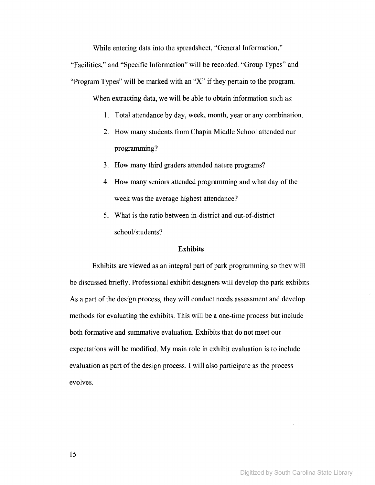While entering data into the spreadsheet, "General Information,"

"Facilities," and "Specific Information" will be recorded. "Group Types" and "Program Types" will be marked with an "X" if they pertain to the program.

When extracting data, we will be able to obtain information such as:

- 1. Total attendance by day, week, month, year or any combination.
- 2. How many students from Chapin Middle School attended our programming?
- 3. How many third graders attended nature programs?
- 4. How many seniors attended programming and what day of the week was the average highest attendance?
- 5. What is the ratio between in-district and out-of-district school/students?

#### **Exhibits**

Exhibits are viewed as an integral part of park programming so they will be discussed briefly. Professional exhibit designers will develop the park exhibits. As a part of the design process, they will conduct needs assessment and develop methods for evaluating the exhibits. This will be a one-time process but include both formative and sumrnative evaluation. Exhibits that do not meet our expectations will be modified. My main role in exhibit evaluation is to include evaluation as part of the design process. I will also participate as the process evolves.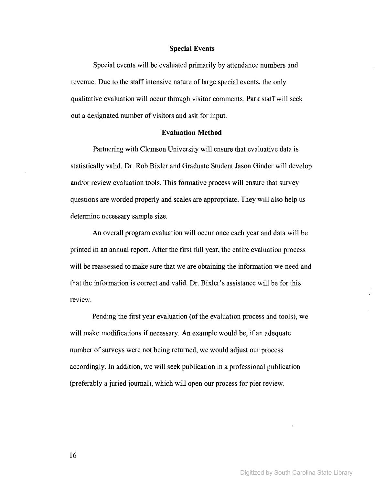#### Special Events

Special events will be evaluated primarily by attendance numbers and revenue. Due to the staff intensive nature of large special events, the only qualitative evaluation will occur through visitor comments. Park staffwill seek out a designated number of visitors and ask for input.

## Evaluation Method

Partnering with Clemson University will ensure that evaluative data is statistically valid. Dr. Rob Bixler and Graduate Student Jason Ginder will develop and/or review evaluation tools. This formative process will ensure that survey questions are worded properly and scales are appropriate. They will also help us determine necessary sample size.

An overall program evaluation will occur once each year and data will be printed in an annual report. After the first full year, the entire evaluation process will be reassessed to make sure that we are obtaining the information we need and that the information is correct and valid. Dr. Bixler's assistance will be for this review.

Pending the first year evaluation (of the evaluation process and tools), we will make modifications if necessary. An example would be, if an adequate number of surveys were not being returned, we would adjust our process accordingly. In addition, we will seek publication in a professional publication (preferably a juried journal), which will open our process for pier review.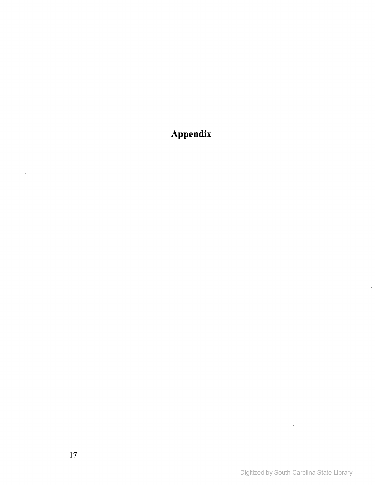**Appendix**

 $\mathcal{L}^{\text{max}}_{\text{max}}$  and  $\mathcal{L}^{\text{max}}_{\text{max}}$ 

 $\frac{1}{2}$ 

 $\sim 10^7$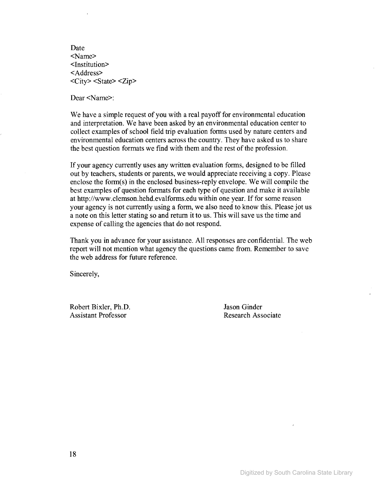Date <Name> <Institution> <Address> <City> <State> <Zip>

Dear <Name>:

We have a simple request of you with a real payoff for environmental education and interpretation. We have been asked by an environmental education center to collect examples of school field trip evaluation forms used by nature centers and environmental education centers across the country. They have asked us to share the best question formats we find with them and the rest of the profession.

If your agency currently uses any written evaluation forms, designed to be filled out by teachers, students or parents, we would appreciate receiving a copy. Please enclose the form(s) in the enclosed business-reply envelope. We will compile the best examples of question formats for each type of question and make it available at http://www.clemson.hehd.evalforms.edu within one year. If for some reason your agency is not currently using a form, we also need to know this. Please jot us a note on this letter stating so and return it to us. This will save us the time and expense of calling the agencies that do not respond.

Thank you in advance for your assistance. All responses are confidential. The web report will not mention what agency the questions came from. Remember to save the web address for future reference.

Sincerely,

Robert Bixler, Ph.D. Assistant Professor

Jason Ginder Research Associate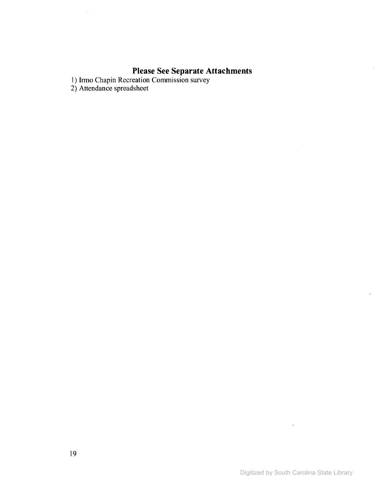# **Please See Separate Attachments**

1) Itmo Chapin Recreation Commission survey

2) Attendance spreadsheet

 $\sim 10$ 

 $\sim$   $t$ 

 $\ddot{\phantom{a}}$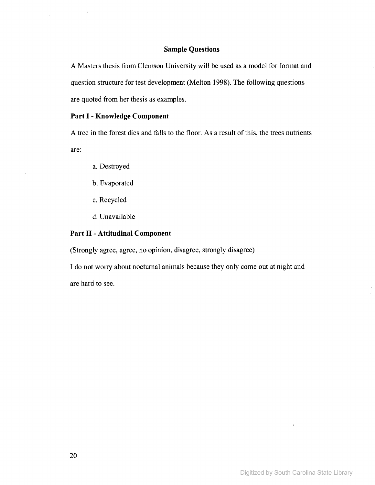#### **Sample Questions**

A Masters thesis from Clemson University will be used as a model for format and question structure for test development (Melton 1998). The following questions are quoted from her thesis as examples.

# **Part I - Knowledge Component**

 $\bar{1}$ 

A tree in the forest dies and falls to the floor. As a result of this, the trees nutrients are:

- a. Destroyed
- b. Evaporated
- c. Recycled
- d. Unavailable

# **Part II - Attitudinal Component**

(Strongly agree, agree, no opinion, disagree, strongly disagree)

I do not worry about nocturnal animals because they only come out at night and are hard to see.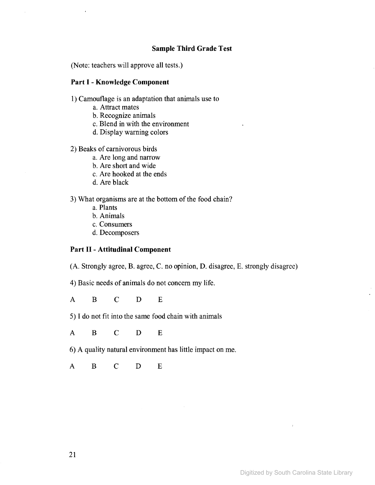# **Sample Third Grade Test**

(Note: teachers will approve all tests.)

# **Part I - Knowledge Component**

 $\bar{z}$ 

1) Camouflage is an adaptation that animals use to

- a. Attract mates
- b. Recognize animals
- c. Blend in with the environment
- d. Display warning colors

2) Beaks of carnivorous birds

- a. Are long and narrow
- b. Are short and wide
- c. Are hooked at the ends
- d. Are black

3) What organisms are at the bottom of the food chain?

- a. Plants
- b. Animals
- c. Consumers
- d. Decomposers

# **Part II - Attitudinal Component**

(A. Strongly agree, B. agree, C. no opinion, D. disagree, E. strongly disagree)

4) Basic needs of animals do not concern my life.

A B C D E

5) I do not fit into the same food chain with animals

A B C D E

6) A quality natural environment has little impact on me.

A B C D E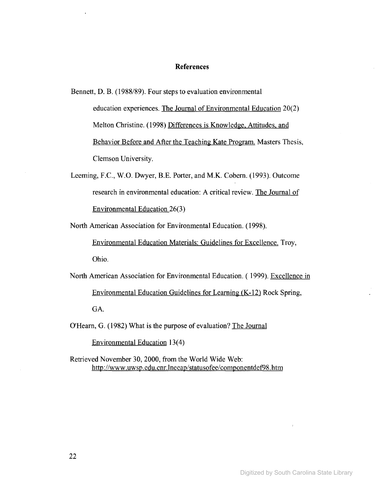#### **References**

Bennett, D. B. (1988/89). Four steps to evaluation environmental education experiences. The Journal of Environmental Education 20(2) Melton Christine. (1998) Differences is Knowledge. Attitudes. and Behavior Before and After the Teaching Kate Program. Masters Thesis, Clemson University.

Leeming, F.C., W.O. Dwyer, B.E. Porter, and M.K. Cobern. (1993). Outcome research in environmental education: A critical review. The Journal of Environmental Education 26(3)

North American Association for Environmental Education. (1998).

Environmental Education Materials: Guidelines for Excellence. Troy, Ohio.

North American Association for Environmental Education. ( 1999). Excellence in Environmental Education Guidelines for Learning (K-12) Rock Spring, GA.

O'Hearn, G. (1982) What is the purpose of evaluation? The Journal

Environmental Education 13(4)

Retrieved November 30,2000, from the World Wide Web: http://www.uwsp.edu.cnr.lneeap/statusofee/componentdef98.htm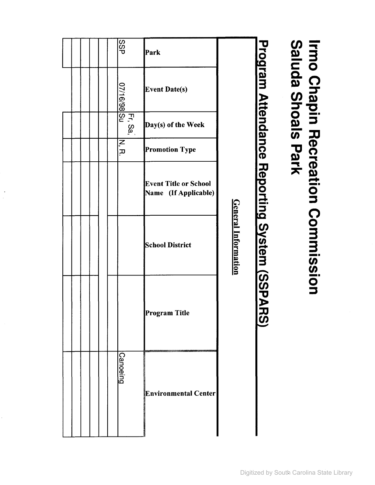|  |  | <b>GSS</b>       | Park                                                 |                            |                                            |
|--|--|------------------|------------------------------------------------------|----------------------------|--------------------------------------------|
|  |  | 07/16/98 Su      | <b>Event Date(s)</b>                                 |                            |                                            |
|  |  | $S_{\mathbf{a}}$ | Day(s) of the Week                                   |                            |                                            |
|  |  | Ν,<br>π,         | <b>Promotion Type</b>                                |                            |                                            |
|  |  |                  | <b>Event Title or School</b><br>Name (If Applicable) |                            |                                            |
|  |  |                  | <b>School District</b>                               | <b>General Information</b> | Program Attendance Reporting System (SSPAF |
|  |  |                  | Program Title                                        |                            | ี่ใดี                                      |
|  |  | <u>Canoeing</u>  | <b>Environmental Center</b>                          |                            |                                            |

 $\ddot{\cdot}$ 

# $\omega \equiv$ **e!.3** c:: 0 **0. Q):::r- 0** <u>ဖ</u> လ **:::T-C <sup>o</sup> --** Q) :1 **(G::O -e CD**  $\boldsymbol{\varpi}$ eat<br>rK **--**o n Commin **--***tn tn* **--**o :1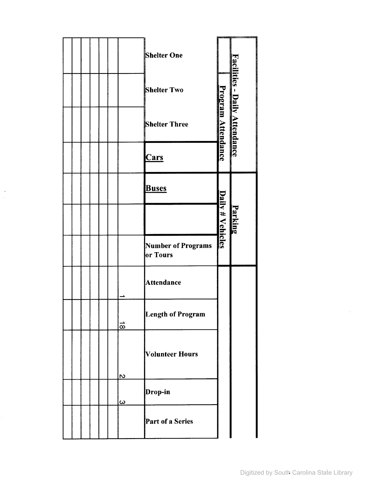|  |  |  |                     | <b>Shelter One</b>             |                           |                               |
|--|--|--|---------------------|--------------------------------|---------------------------|-------------------------------|
|  |  |  |                     | <b>Shelter Two</b>             |                           |                               |
|  |  |  |                     | <b>Shelter Three</b>           | <b>Program Attendance</b> | Facilities - Daily Attendance |
|  |  |  |                     | <b>Cars</b>                    |                           |                               |
|  |  |  |                     | <b>Buses</b>                   |                           |                               |
|  |  |  |                     |                                | Daily # Vehicles          | Parking                       |
|  |  |  |                     | Number of Programs<br>or Tours |                           |                               |
|  |  |  |                     | <b>Attendance</b>              |                           |                               |
|  |  |  | $\vec{\infty}$      | <b>Length of Program</b>       |                           |                               |
|  |  |  | <u>လ</u>            | <b>Volunteer Hours</b>         |                           |                               |
|  |  |  | $\overline{\omega}$ | Drop-in                        |                           |                               |
|  |  |  |                     | Part of a Series               |                           |                               |

 $\bar{\mathcal{A}}$  $\overline{\phantom{a}}$ 

 $\hat{\mathcal{L}}$ 

 $\bar{\alpha}$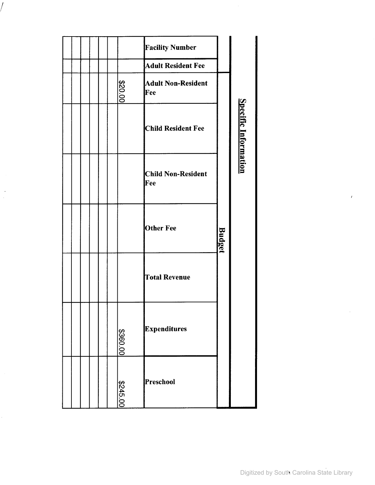|  |          | <b>Facility Number</b>           |               |                             |  |
|--|----------|----------------------------------|---------------|-----------------------------|--|
|  |          | <b>Adult Resident Fee</b>        |               |                             |  |
|  | \$20.00  | <b>Adult Non-Resident</b><br>Fee |               |                             |  |
|  |          | <b>Child Resident Fee</b>        |               | <b>Specific Information</b> |  |
|  |          | <b>Child Non-Resident</b><br>Fee |               |                             |  |
|  |          | <b>Other Fee</b>                 | <b>Budget</b> |                             |  |
|  |          | <b>Total Revenue</b>             |               |                             |  |
|  | \$360.00 | Expenditures                     |               |                             |  |
|  | \$245.00 | Preschool                        |               |                             |  |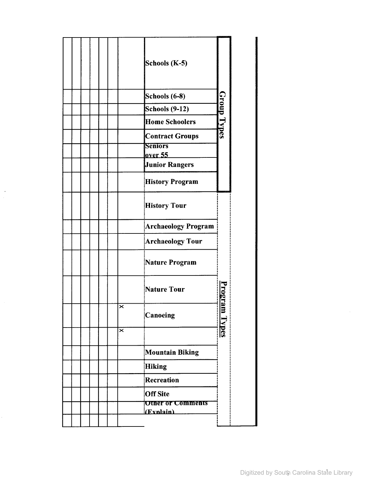|  |  |                         | Schools (K-5)                         |               |
|--|--|-------------------------|---------------------------------------|---------------|
|  |  |                         | Schools (6-8)                         |               |
|  |  |                         | Schools (9-12)                        |               |
|  |  |                         | <b>Home Schoolers</b>                 | Group Types   |
|  |  |                         | <b>Contract Groups</b>                |               |
|  |  |                         | <b>Seniors</b>                        |               |
|  |  |                         | over 55                               |               |
|  |  |                         | <b>Junior Rangers</b>                 |               |
|  |  |                         | <b>History Program</b>                |               |
|  |  |                         | <b>History Tour</b>                   |               |
|  |  |                         | Archaeology Program                   |               |
|  |  |                         | Archaeology Tour                      |               |
|  |  |                         | Nature Program                        |               |
|  |  |                         | Nature Tour!                          |               |
|  |  | ×                       | Canoeing                              | Program Types |
|  |  | $\overline{\mathsf{x}}$ |                                       |               |
|  |  |                         | Mountain Biking                       |               |
|  |  |                         | Hiking                                |               |
|  |  |                         | Recreation                            |               |
|  |  |                         | <b>Off Site</b>                       |               |
|  |  |                         |                                       |               |
|  |  |                         | <b>Other or Comments</b><br>(Exnlain) |               |

 $\lambda$ 

Ļ,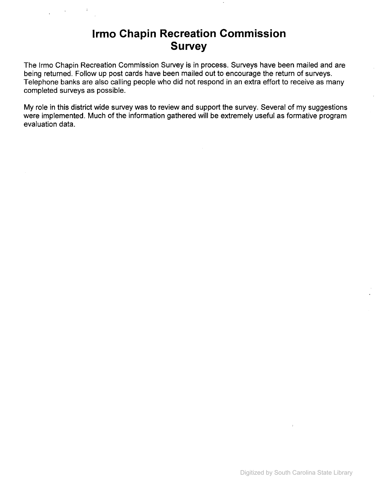# **Irmo Chapin Recreation Commission Survey**

The Irmo Chapin Recreation Commission Survey is in process. Surveys have been mailed and are being returned. Follow up post cards have been mailed out to encourage the return of surveys. Telephone banks are also calling people who did not respond in an extra effort to receive as many completed surveys as possible.

My role in this district wide survey was to review and support the survey. Several of my suggestions were implemented. Much of the information gathered will be extremely useful as formative program evaluation data.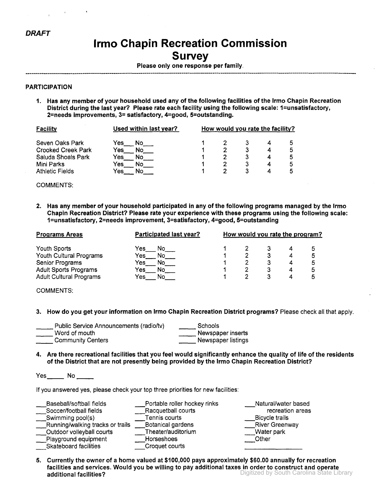# **Irma Chapin Recreation Commission Survey**

Please only one response per family.

#### PARTICIPATION

1. Has any member of your household used any of the following facilities of the Irmo Chapin Recreation District during the last year? Please rate each facility using the following scale: 1=unsatisfactory, 2=needs improvements, 3= satisfactory, 4=good, 5=outstanding.

| Facility               | Used within last year? | How would you rate the facility? |  |  |  |   |  |
|------------------------|------------------------|----------------------------------|--|--|--|---|--|
| Seven Oaks Park        | Yes l<br>No.           |                                  |  |  |  | 5 |  |
| Crooked Creek Park     | No<br>Yes              |                                  |  |  |  |   |  |
| Saluda Shoals Park     | Yes<br>NO              |                                  |  |  |  | 5 |  |
| Mini Parks             | Yes<br>NO              |                                  |  |  |  | 5 |  |
| <b>Athletic Fields</b> | Yes.                   |                                  |  |  |  | 5 |  |

COMMENTS:

2. Has any member of your household participated in any of the following programs managed by the Irmo Chapin Recreation District? Please rate your experience with these programs using the following scale: 1=unsatisfactory, 2=needs improvement, 3=satisfactory, 4=good, 5=outstanding

| <b>Programs Areas</b>          | Participated last year? | How would you rate the program? |   |   |
|--------------------------------|-------------------------|---------------------------------|---|---|
| Youth Sports                   | Yes<br>No.              |                                 |   |   |
| Youth Cultural Programs        | No<br>Yes               |                                 |   | 5 |
| Senior Programs                | No<br>Yes.              |                                 |   |   |
| <b>Adult Sports Programs</b>   | Yes<br>Νo               |                                 | 4 |   |
| <b>Adult Cultural Programs</b> | Yes<br>No               |                                 | 4 |   |

COMMENTS:

3. How do you get your information on Irmo Chapin Recreation District programs? Please check all that apply.

| Public Service Announcements (radio/tv) | Schools            |
|-----------------------------------------|--------------------|
| Word of mouth                           | Newspaper inserts  |
| <b>Community Centers</b>                | Newspaper listings |

4. Are there recreational facilities that you feel would significantly enhance the quality of life of the residents of the District that are not presently being provided by the Irmo Chapin Recreation District?

Yes\_\_\_\_\_\_\_ No \_\_\_\_\_\_

If you answered yes, please check your top three priorities for new facilities:

| Baseball/softball fields         | Portable roller hockey rinks | Natural/water based   |
|----------------------------------|------------------------------|-----------------------|
| Soccer/football fields           | Racquetball courts           | recreation areas      |
| Swimming pool(s)                 | Tennis courts                | Bicycle trails        |
| Running/walking tracks or trails | <b>Botanical gardens</b>     | <b>River Greenway</b> |
| Outdoor volleyball courts        | Theater/auditorium           | Water park            |
| Playground equipment             | Horseshoes                   | Other                 |
| Skateboard facilities            | Croquet courts               |                       |

Digitized by South Carolina State Library 5. Currently the owner of a home valued at \$100,000 pays approximately \$60.00 annually for recreation facilities and services. Would you be wiIling to pay additional taxes in order to construct and operate additional facilities?